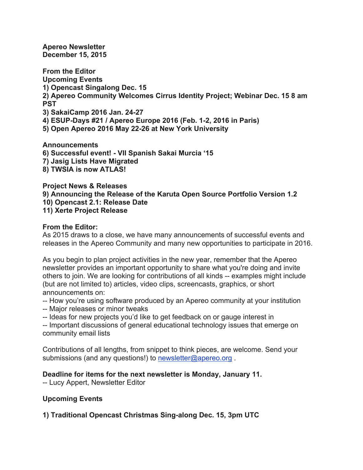**Apereo Newsletter December 15, 2015**

**From the Editor Upcoming Events 1) Opencast Singalong Dec. 15 2) Apereo Community Welcomes Cirrus Identity Project; Webinar Dec. 15 8 am PST 3) SakaiCamp 2016 Jan. 24-27 4) ESUP-Days #21 / Apereo Europe 2016 (Feb. 1-2, 2016 in Paris) 5) Open Apereo 2016 May 22-26 at New York University**

**Announcements 6) Successful event! - VII Spanish Sakai Murcia '15 7) Jasig Lists Have Migrated 8) TWSIA is now ATLAS!**

**Project News & Releases 9) Announcing the Release of the Karuta Open Source Portfolio Version 1.2 10) Opencast 2.1: Release Date 11) Xerte Project Release**

## **From the Editor:**

As 2015 draws to a close, we have many announcements of successful events and releases in the Apereo Community and many new opportunities to participate in 2016.

As you begin to plan project activities in the new year, remember that the Apereo newsletter provides an important opportunity to share what you're doing and invite others to join. We are looking for contributions of all kinds -- examples might include (but are not limited to) articles, video clips, screencasts, graphics, or short announcements on:

-- How you're using software produced by an Apereo community at your institution

-- Major releases or minor tweaks

-- Ideas for new projects you'd like to get feedback on or gauge interest in

-- Important discussions of general educational technology issues that emerge on community email lists

Contributions of all lengths, from snippet to think pieces, are welcome. Send your submissions (and any questions!) to newsletter@apereo.org.

## **Deadline for items for the next newsletter is Monday, January 11.**

-- Lucy Appert, Newsletter Editor

# **Upcoming Events**

**1) Traditional Opencast Christmas Sing-along Dec. 15, 3pm UTC**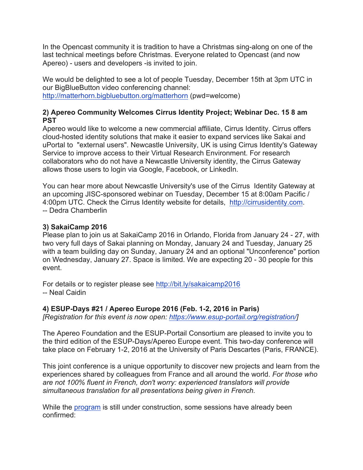In the Opencast community it is tradition to have a Christmas sing-along on one of the last technical meetings before Christmas. Everyone related to Opencast (and now Apereo) - users and developers -is invited to join.

We would be delighted to see a lot of people Tuesday, December 15th at 3pm UTC in our BigBlueButton video conferencing channel: http://matterhorn.bigbluebutton.org/matterhorn (pwd=welcome)

## **2) Apereo Community Welcomes Cirrus Identity Project; Webinar Dec. 15 8 am PST**

Apereo would like to welcome a new commercial affiliate, Cirrus Identity. Cirrus offers cloud-hosted identity solutions that make it easier to expand services like Sakai and uPortal to "external users". Newcastle University, UK is using Cirrus Identity's Gateway Service to improve access to their Virtual Research Environment. For research collaborators who do not have a Newcastle University identity, the Cirrus Gateway allows those users to login via Google, Facebook, or LinkedIn.

You can hear more about Newcastle University's use of the Cirrus Identity Gateway at an upcoming JISC-sponsored webinar on Tuesday, December 15 at 8:00am Pacific / 4:00pm UTC. Check the Cirrus Identity website for details, http://cirrusidentity.com. -- Dedra Chamberlin

# **3) SakaiCamp 2016**

Please plan to join us at SakaiCamp 2016 in Orlando, Florida from January 24 - 27, with two very full days of Sakai planning on Monday, January 24 and Tuesday, January 25 with a team building day on Sunday, January 24 and an optional "Unconference" portion on Wednesday, January 27. Space is limited. We are expecting 20 - 30 people for this event.

For details or to register please see http://bit.ly/sakaicamp2016 -- Neal Caidin

# **4) ESUP-Days #21 / Apereo Europe 2016 (Feb. 1-2, 2016 in Paris)**

*[Registration for this event is now open: https://www.esup-portail.org/registration/]*

The Apereo Foundation and the ESUP-Portail Consortium are pleased to invite you to the third edition of the ESUP-Days/Apereo Europe event. This two-day conference will take place on February 1-2, 2016 at the University of Paris Descartes (Paris, FRANCE).

This joint conference is a unique opportunity to discover new projects and learn from the experiences shared by colleagues from France and all around the world. *For those who are not 100% fluent in French, don't worry: experienced translators will provide simultaneous translation for all presentations being given in French.*

While the program is still under construction, some sessions have already been confirmed: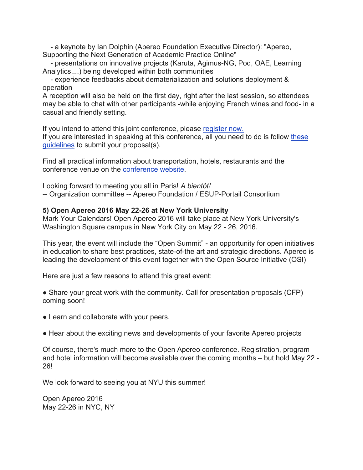- a keynote by Ian Dolphin (Apereo Foundation Executive Director): "Apereo, Supporting the Next Generation of Academic Practice Online"

- presentations on innovative projects (Karuta, Agimus-NG, Pod, OAE, Learning Analytics,...) being developed within both communities

- experience feedbacks about dematerialization and solutions deployment & operation

A reception will also be held on the first day, right after the last session, so attendees may be able to chat with other participants -while enjoying French wines and food- in a casual and friendly setting.

If you intend to attend this joint conference, please register now. If you are interested in speaking at this conference, all you need to do is follow these guidelines to submit your proposal(s).

Find all practical information about transportation, hotels, restaurants and the conference venue on the conference website.

Looking forward to meeting you all in Paris! *A bientôt!*

-- Organization committee -- Apereo Foundation / ESUP-Portail Consortium

### **5) Open Apereo 2016 May 22-26 at New York University**

Mark Your Calendars! Open Apereo 2016 will take place at New York University's Washington Square campus in New York City on May 22 - 26, 2016.

This year, the event will include the "Open Summit" - an opportunity for open initiatives in education to share best practices, state-of-the art and strategic directions. Apereo is leading the development of this event together with the Open Source Initiative (OSI)

Here are just a few reasons to attend this great event:

• Share your great work with the community. Call for presentation proposals (CFP) coming soon!

- Learn and collaborate with your peers.
- Hear about the exciting news and developments of your favorite Apereo projects

Of course, there's much more to the Open Apereo conference. Registration, program and hotel information will become available over the coming months – but hold May 22 - 26!

We look forward to seeing you at NYU this summer!

Open Apereo 2016 May 22-26 in NYC, NY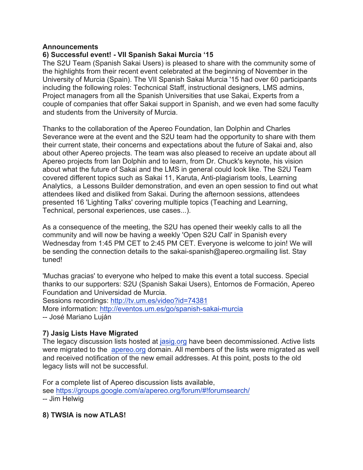### **Announcements**

## **6) Successful event! - VII Spanish Sakai Murcia '15**

The S2U Team (Spanish Sakai Users) is pleased to share with the community some of the highlights from their recent event celebrated at the beginning of November in the University of Murcia (Spain). The VII Spanish Sakai Murcia '15 had over 60 participants including the following roles: Techcnical Staff, instructional designers, LMS admins, Project managers from all the Spanish Universities that use Sakai, Experts from a couple of companies that offer Sakai support in Spanish, and we even had some faculty and students from the University of Murcia.

Thanks to the collaboration of the Apereo Foundation, Ian Dolphin and Charles Severance were at the event and the S2U team had the opportunity to share with them their current state, their concerns and expectations about the future of Sakai and, also about other Apereo projects. The team was also pleased to receive an update about all Apereo projects from Ian Dolphin and to learn, from Dr. Chuck's keynote, his vision about what the future of Sakai and the LMS in general could look like. The S2U Team covered different topics such as Sakai 11, Karuta, Anti-plagiarism tools, Learning Analytics, a Lessons Builder demonstration, and even an open session to find out what attendees liked and disliked from Sakai. During the afternoon sessions, attendees presented 16 'Lighting Talks' covering multiple topics (Teaching and Learning, Technical, personal experiences, use cases...).

As a consequence of the meeting, the S2U has opened their weekly calls to all the community and will now be having a weekly 'Open S2U Call' in Spanish every Wednesday from 1:45 PM CET to 2:45 PM CET. Everyone is welcome to join! We will be sending the connection details to the sakai-spanish@apereo.orgmailing list. Stay tuned!

'Muchas gracias' to everyone who helped to make this event a total success. Special thanks to our supporters: S2U (Spanish Sakai Users), Entornos de Formación, Apereo Foundation and Universidad de Murcia. Sessions recordings: http://tv.um.es/video?id=74381

More information: http://eventos.um.es/go/spanish-sakai-murcia -- José Mariano Luján

# **7) Jasig Lists Have Migrated**

The legacy discussion lists hosted at jasig.org have been decommissioned. Active lists were migrated to the apereo.org domain. All members of the lists were migrated as well and received notification of the new email addresses. At this point, posts to the old legacy lists will not be successful.

For a complete list of Apereo discussion lists available, see https://groups.google.com/a/apereo.org/forum/#!forumsearch/ -- Jim Helwig

**8) TWSIA is now ATLAS!**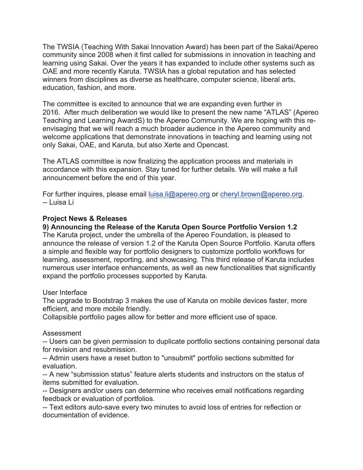The TWSIA (Teaching With Sakai Innovation Award) has been part of the Sakai/Apereo community since 2008 when it first called for submissions in innovation in teaching and learning using Sakai. Over the years it has expanded to include other systems such as OAE and more recently Karuta. TWSIA has a global reputation and has selected winners from disciplines as diverse as healthcare, computer science, liberal arts, education, fashion, and more.

The committee is excited to announce that we are expanding even further in 2016. After much deliberation we would like to present the new name "ATLAS" (Apereo Teaching and Learning AwardS) to the Apereo Community. We are hoping with this reenvisaging that we will reach a much broader audience in the Apereo community and welcome applications that demonstrate innovations in teaching and learning using not only Sakai, OAE, and Karuta, but also Xerte and Opencast.

The ATLAS committee is now finalizing the application process and materials in accordance with this expansion. Stay tuned for further details. We will make a full announcement before the end of this year.

For further inquires, please email luisa.li@apereo.org or cheryl.brown@apereo.org. -- Luisa Li

### **Project News & Releases**

### **9) Announcing the Release of the Karuta Open Source Portfolio Version 1.2**

The Karuta project, under the umbrella of the Apereo Foundation, is pleased to announce the release of version 1.2 of the Karuta Open Source Portfolio. Karuta offers a simple and flexible way for portfolio designers to customize portfolio workflows for learning, assessment, reporting, and showcasing. This third release of Karuta includes numerous user interface enhancements, as well as new functionalities that significantly expand the portfolio processes supported by Karuta.

#### User Interface

The upgrade to Bootstrap 3 makes the use of Karuta on mobile devices faster, more efficient, and more mobile friendly.

Collapsible portfolio pages allow for better and more efficient use of space.

#### Assessment

-- Users can be given permission to duplicate portfolio sections containing personal data for revision and resubmission.

-- Admin users have a reset button to "unsubmit" portfolio sections submitted for evaluation.

-- A new "submission status" feature alerts students and instructors on the status of items submitted for evaluation.

-- Designers and/or users can determine who receives email notifications regarding feedback or evaluation of portfolios.

-- Text editors auto-save every two minutes to avoid loss of entries for reflection or documentation of evidence.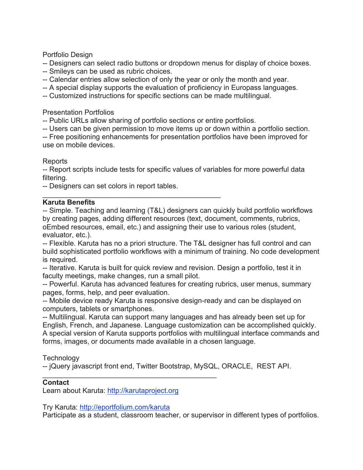Portfolio Design

-- Designers can select radio buttons or dropdown menus for display of choice boxes.

- -- Smileys can be used as rubric choices.
- -- Calendar entries allow selection of only the year or only the month and year.
- -- A special display supports the evaluation of proficiency in Europass languages.
- -- Customized instructions for specific sections can be made multilingual.

## Presentation Portfolios

-- Public URLs allow sharing of portfolio sections or entire portfolios.

-- Users can be given permission to move items up or down within a portfolio section.

-- Free positioning enhancements for presentation portfolios have been improved for use on mobile devices.

## Reports

-- Report scripts include tests for specific values of variables for more powerful data filtering.

-- Designers can set colors in report tables.

#### $\overline{\phantom{a}}$  , and the contract of the contract of the contract of the contract of the contract of the contract of the contract of the contract of the contract of the contract of the contract of the contract of the contrac **Karuta Benefits**

-- Simple. Teaching and learning (T&L) designers can quickly build portfolio workflows by creating pages, adding different resources (text, document, comments, rubrics, oEmbed resources, email, etc.) and assigning their use to various roles (student, evaluator, etc.).

-- Flexible. Karuta has no a priori structure. The T&L designer has full control and can build sophisticated portfolio workflows with a minimum of training. No code development is required.

-- Iterative. Karuta is built for quick review and revision. Design a portfolio, test it in faculty meetings, make changes, run a small pilot.

-- Powerful. Karuta has advanced features for creating rubrics, user menus, summary pages, forms, help, and peer evaluation.

-- Mobile device ready Karuta is responsive design-ready and can be displayed on computers, tablets or smartphones.

-- Multilingual. Karuta can support many languages and has already been set up for English, French, and Japanese. Language customization can be accomplished quickly. A special version of Karuta supports portfolios with multilingual interface commands and forms, images, or documents made available in a chosen language.

**Technology** 

-- jQuery javascript front end, Twitter Bootstrap, MySQL, ORACLE, REST API.

# **Contact**

Learn about Karuta: http://karutaproject.org

\_\_\_\_\_\_\_\_\_\_\_\_\_\_\_\_\_\_\_\_\_\_\_\_\_\_\_\_\_\_\_\_\_\_\_\_\_\_\_\_\_\_\_\_

Try Karuta: http://eportfolium.com/karuta

Participate as a student, classroom teacher, or supervisor in different types of portfolios.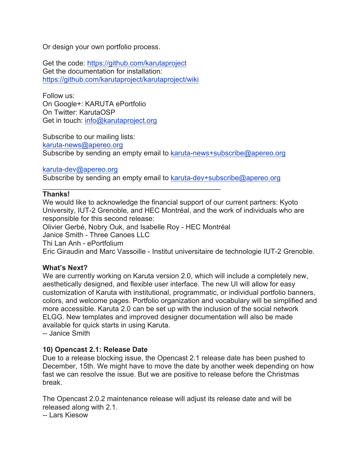Or design your own portfolio process.

Get the code: https://github.com/karutaproject Get the documentation for installation: https://github.com/karutaproject/karutaproject/wiki

Follow us: On Google+: KARUTA ePortfolio On Twitter: KarutaOSP Get in touch: info@karutaproject.org

Subscribe to our mailing lists: karuta-news@apereo.org Subscribe by sending an empty email to karuta-news+subscribe@apereo.org

#### karuta-dev@apereo.org

Subscribe by sending an empty email to karuta-dev+subscribe@apereo.org

## **Thanks!**

We would like to acknowledge the financial support of our current partners: Kyoto University, IUT-2 Grenoble, and HEC Montréal, and the work of individuals who are responsible for this second release:

Olivier Gerbé, Nobry Ouk, and Isabelle Roy - HEC Montréal

\_\_\_\_\_\_\_\_\_\_\_\_\_\_\_\_\_\_\_\_\_\_\_\_\_\_\_\_\_\_\_\_\_\_\_\_\_\_\_\_\_\_\_\_\_

Janice Smith - Three Canoes LLC

Thi Lan Anh - ePortfolium

Eric Giraudin and Marc Vassoille - Institut universitaire de technologie IUT-2 Grenoble.

## **What's Next?**

We are currently working on Karuta version 2.0, which will include a completely new, aesthetically designed, and flexible user interface. The new UI will allow for easy customization of Karuta with institutional, programmatic, or individual portfolio banners, colors, and welcome pages. Portfolio organization and vocabulary will be simplified and more accessible. Karuta 2.0 can be set up with the inclusion of the social network ELGG. New templates and improved designer documentation will also be made available for quick starts in using Karuta. -- Janice Smith

## **10) Opencast 2.1: Release Date**

Due to a release blocking issue, the Opencast 2.1 release date has been pushed to December, 15th. We might have to move the date by another week depending on how fast we can resolve the issue. But we are positive to release before the Christmas break.

The Opencast 2.0.2 maintenance release will adjust its release date and will be released along with 2.1.

-- Lars Kiesow